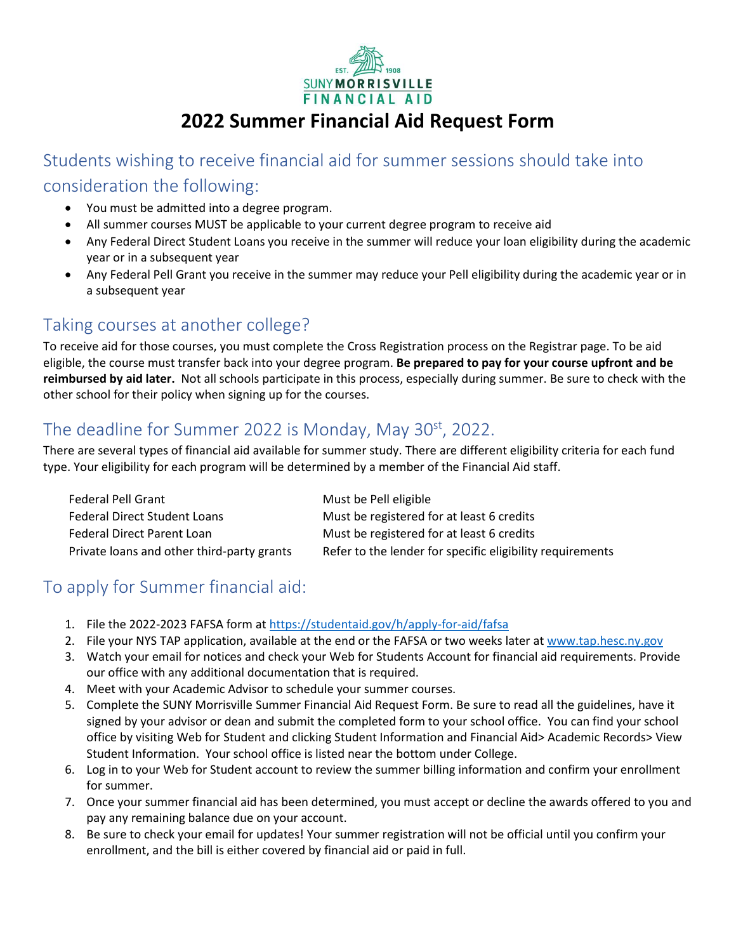

# **2022 Summer Financial Aid Request Form**

Students wishing to receive financial aid for summer sessions should take into consideration the following:

- You must be admitted into a degree program.
- All summer courses MUST be applicable to your current degree program to receive aid
- Any Federal Direct Student Loans you receive in the summer will reduce your loan eligibility during the academic year or in a subsequent year
- Any Federal Pell Grant you receive in the summer may reduce your Pell eligibility during the academic year or in a subsequent year

### Taking courses at another college?

To receive aid for those courses, you must complete the Cross Registration process on the Registrar page. To be aid eligible, the course must transfer back into your degree program. **Be prepared to pay for your course upfront and be reimbursed by aid later.** Not all schools participate in this process, especially during summer. Be sure to check with the other school for their policy when signing up for the courses.

#### The deadline for Summer 2022 is Monday, May 30<sup>st</sup>, 2022.

There are several types of financial aid available for summer study. There are different eligibility criteria for each fund type. Your eligibility for each program will be determined by a member of the Financial Aid staff.

| <b>Federal Pell Grant</b>                  | Must be Pell eligible                                     |
|--------------------------------------------|-----------------------------------------------------------|
| <b>Federal Direct Student Loans</b>        | Must be registered for at least 6 credits                 |
| Federal Direct Parent Loan                 | Must be registered for at least 6 credits                 |
| Private loans and other third-party grants | Refer to the lender for specific eligibility requirements |

### To apply for Summer financial aid:

- 1. File the 2022-2023 FAFSA form at<https://studentaid.gov/h/apply-for-aid/fafsa>
- 2. File your NYS TAP application, available at the end or the FAFSA or two weeks later at [www.tap.hesc.ny.gov](http://www.tap.hesc.ny.gov/)
- 3. Watch your email for notices and check your Web for Students Account for financial aid requirements. Provide our office with any additional documentation that is required.
- 4. Meet with your Academic Advisor to schedule your summer courses.
- 5. Complete the SUNY Morrisville Summer Financial Aid Request Form. Be sure to read all the guidelines, have it signed by your advisor or dean and submit the completed form to your school office. You can find your school office by visiting Web for Student and clicking Student Information and Financial Aid> Academic Records> View Student Information. Your school office is listed near the bottom under College.
- 6. Log in to your Web for Student account to review the summer billing information and confirm your enrollment for summer.
- 7. Once your summer financial aid has been determined, you must accept or decline the awards offered to you and pay any remaining balance due on your account.
- 8. Be sure to check your email for updates! Your summer registration will not be official until you confirm your enrollment, and the bill is either covered by financial aid or paid in full.